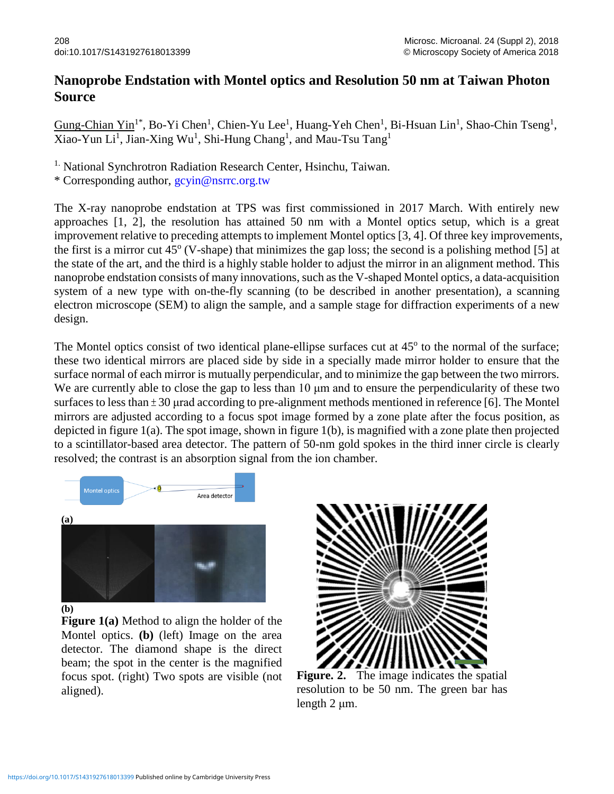## **Nanoprobe Endstation with Montel optics and Resolution 50 nm at Taiwan Photon Source**

Gung-Chian Yin<sup>1\*</sup>, Bo-Yi Chen<sup>1</sup>, Chien-Yu Lee<sup>1</sup>, Huang-Yeh Chen<sup>1</sup>, Bi-Hsuan Lin<sup>1</sup>, Shao-Chin Tseng<sup>1</sup>, Xiao-Yun Li<sup>1</sup>, Jian-Xing Wu<sup>1</sup>, Shi-Hung Chang<sup>1</sup>, and Mau-Tsu Tang<sup>1</sup>

<sup>1.</sup> National Synchrotron Radiation Research Center, Hsinchu, Taiwan.

\* Corresponding author, gcyin@nsrrc.org.tw

The X-ray nanoprobe endstation at TPS was first commissioned in 2017 March. With entirely new approaches [1, 2], the resolution has attained 50 nm with a Montel optics setup, which is a great improvement relative to preceding attempts to implement Montel optics [3, 4]. Of three key improvements, the first is a mirror cut  $45^{\circ}$  (V-shape) that minimizes the gap loss; the second is a polishing method [5] at the state of the art, and the third is a highly stable holder to adjust the mirror in an alignment method. This nanoprobe endstation consists of many innovations, such as the V-shaped Montel optics, a data-acquisition system of a new type with on-the-fly scanning (to be described in another presentation), a scanning electron microscope (SEM) to align the sample, and a sample stage for diffraction experiments of a new design.

The Montel optics consist of two identical plane-ellipse surfaces cut at 45<sup>o</sup> to the normal of the surface; these two identical mirrors are placed side by side in a specially made mirror holder to ensure that the surface normal of each mirror is mutually perpendicular, and to minimize the gap between the two mirrors. We are currently able to close the gap to less than 10 μm and to ensure the perpendicularity of these two surfaces to less than  $\pm 30$  µrad according to pre-alignment methods mentioned in reference [6]. The Montel mirrors are adjusted according to a focus spot image formed by a zone plate after the focus position, as depicted in figure 1(a). The spot image, shown in figure 1(b), is magnified with a zone plate then projected to a scintillator-based area detector. The pattern of 50-nm gold spokes in the third inner circle is clearly resolved; the contrast is an absorption signal from the ion chamber.





**(b)**

**Figure 1(a)** Method to align the holder of the Montel optics. **(b)** (left) Image on the area detector. The diamond shape is the direct beam; the spot in the center is the magnified focus spot. (right) Two spots are visible (not aligned).



**Figure. 2.** The image indicates the spatial resolution to be 50 nm. The green bar has length 2 μm.